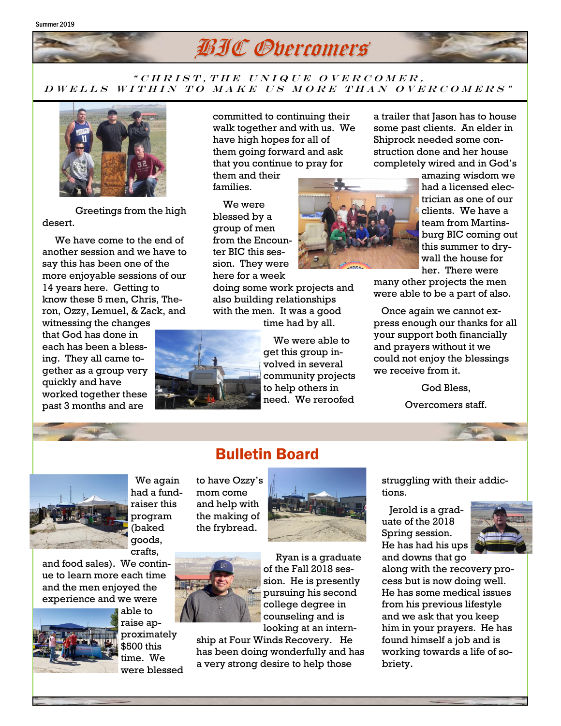

## " CHRIST, THE UNIQUE OVERCOMER, D WELLS WITHIN TO MAKE US MORE THAN OVERCOMERS"



Greetings from the high desert.

 We have come to the end of another session and we have to say this has been one of the more enjoyable sessions of our 14 years here. Getting to know these 5 men, Chris, Theron, Ozzy, Lemuel, & Zack, and

witnessing the changes that God has done in each has been a blessing. They all came together as a group very quickly and have worked together these past 3 months and are

committed to continuing their walk together and with us. We have high hopes for all of them going forward and ask that you continue to pray for

them and their families.

 We were blessed by a group of men from the Encounter BIC this session. They were here for a week

doing some work projects and also building relationships with the men. It was a good time had by all.

Bulletin Board



 We were able to get this group involved in several community projects to help others in need. We reroofed

a trailer that Jason has to house some past clients. An elder in Shiprock needed some construction done and her house completely wired and in God's

> amazing wisdom we had a licensed electrician as one of our clients. We have a team from Martinsburg BIC coming out this summer to drywall the house for her. There were

many other projects the men were able to be a part of also.

 Once again we cannot express enough our thanks for all your support both financially and prayers without it we could not enjoy the blessings we receive from it.

God Bless,

Overcomers staff.



 We again had a fundraiser this program (baked goods,

to have Ozzy's mom come and help with the making of the frybread.





 Ryan is a graduate of the Fall 2018 session. He is presently pursuing his second college degree in counseling and is looking at an intern-

ship at Four Winds Recovery. He has been doing wonderfully and has a very strong desire to help those

struggling with their addictions.

 Jerold is a graduate of the 2018 Spring session. He has had his ups and downs that go



along with the recovery process but is now doing well. He has some medical issues from his previous lifestyle and we ask that you keep him in your prayers. He has found himself a job and is working towards a life of sobriety.



and food sales). We continue to learn more each time and the men enjoyed the experience and we were



able to raise approximately \$500 this

time. We were blessed